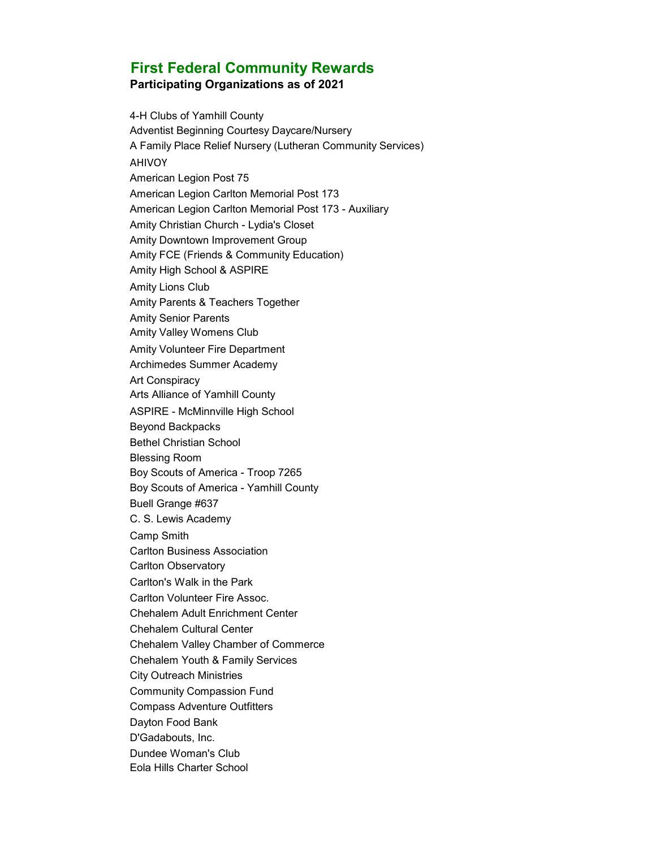## **First Federal Community Rewards Participating Organizations as of 2021**

4-H Clubs of Yamhill County Adventist Beginning Courtesy Daycare/Nursery A Family Place Relief Nursery (Lutheran Community Services) **AHIVOY** American Legion Post 75 American Legion Carlton Memorial Post 173 American Legion Carlton Memorial Post 173 - Auxiliary Amity Christian Church - Lydia's Closet Amity Downtown Improvement Group Amity FCE (Friends & Community Education) Amity High School & ASPIRE Amity Lions Club Amity Parents & Teachers Together Amity Senior Parents Amity Valley Womens Club Amity Volunteer Fire Department Archimedes Summer Academy Art Conspiracy Arts Alliance of Yamhill County ASPIRE - McMinnville High School Beyond Backpacks Bethel Christian School Blessing Room Boy Scouts of America - Troop 7265 Boy Scouts of America - Yamhill County Buell Grange #637 C. S. Lewis Academy Camp Smith Carlton Business Association Carlton Observatory Carlton's Walk in the Park Carlton Volunteer Fire Assoc. Chehalem Adult Enrichment Center Chehalem Cultural Center Chehalem Valley Chamber of Commerce Chehalem Youth & Family Services City Outreach Ministries Community Compassion Fund Compass Adventure Outfitters Dayton Food Bank D'Gadabouts, Inc. Dundee Woman's Club Eola Hills Charter School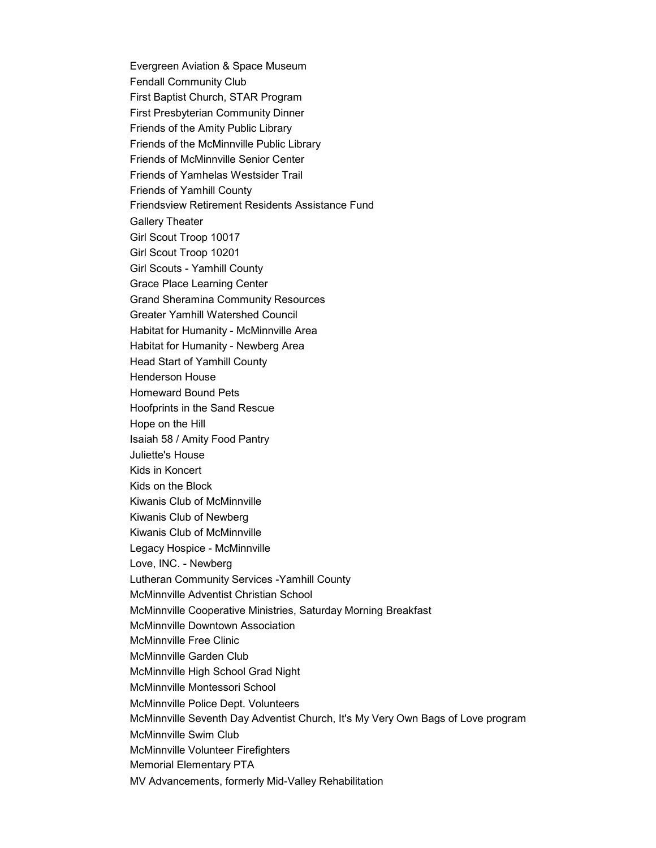Evergreen Aviation & Space Museum Fendall Community Club First Baptist Church, STAR Program First Presbyterian Community Dinner Friends of the Amity Public Library Friends of the McMinnville Public Library Friends of McMinnville Senior Center Friends of Yamhelas Westsider Trail Friends of Yamhill County Friendsview Retirement Residents Assistance Fund Gallery Theater Girl Scout Troop 10017 Girl Scout Troop 10201 Girl Scouts - Yamhill County Grace Place Learning Center Grand Sheramina Community Resources Greater Yamhill Watershed Council Habitat for Humanity - McMinnville Area Habitat for Humanity - Newberg Area Head Start of Yamhill County Henderson House Homeward Bound Pets Hoofprints in the Sand Rescue Hope on the Hill Isaiah 58 / Amity Food Pantry Juliette's House Kids in Koncert Kids on the Block Kiwanis Club of McMinnville Kiwanis Club of Newberg Kiwanis Club of McMinnville Legacy Hospice - McMinnville Love, INC. - Newberg Lutheran Community Services -Yamhill County McMinnville Adventist Christian School McMinnville Cooperative Ministries, Saturday Morning Breakfast McMinnville Downtown Association McMinnville Free Clinic McMinnville Garden Club McMinnville High School Grad Night McMinnville Montessori School McMinnville Police Dept. Volunteers McMinnville Seventh Day Adventist Church, It's My Very Own Bags of Love program McMinnville Swim Club McMinnville Volunteer Firefighters Memorial Elementary PTA MV Advancements, formerly Mid-Valley Rehabilitation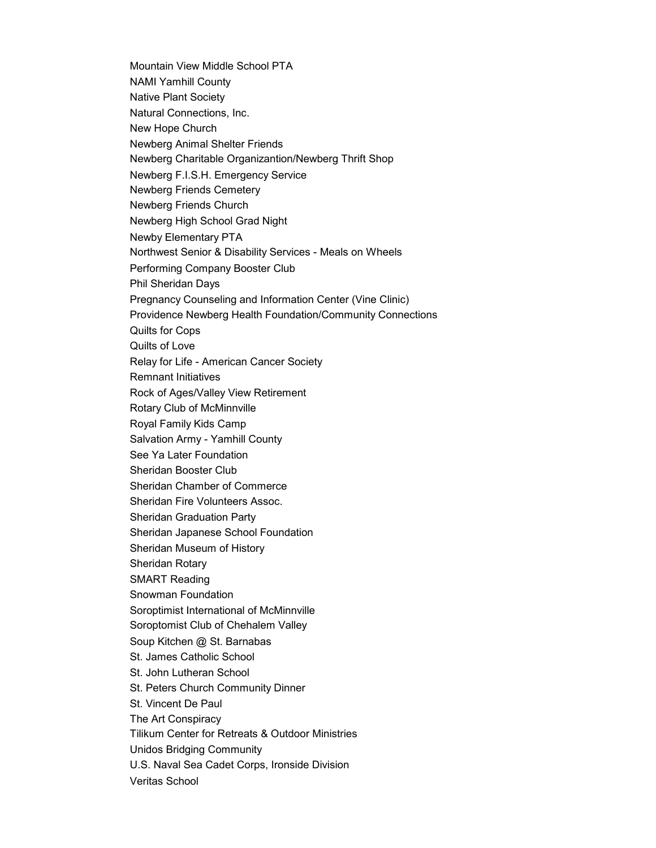Mountain View Middle School PTA NAMI Yamhill County Native Plant Society Natural Connections, Inc. New Hope Church Newberg Animal Shelter Friends Newberg Charitable Organizantion/Newberg Thrift Shop Newberg F.I.S.H. Emergency Service Newberg Friends Cemetery Newberg Friends Church Newberg High School Grad Night Newby Elementary PTA Northwest Senior & Disability Services - Meals on Wheels Performing Company Booster Club Phil Sheridan Days Pregnancy Counseling and Information Center (Vine Clinic) Providence Newberg Health Foundation/Community Connections Quilts for Cops Quilts of Love Relay for Life - American Cancer Society Remnant Initiatives Rock of Ages/Valley View Retirement Rotary Club of McMinnville Royal Family Kids Camp Salvation Army - Yamhill County See Ya Later Foundation Sheridan Booster Club Sheridan Chamber of Commerce Sheridan Fire Volunteers Assoc. Sheridan Graduation Party Sheridan Japanese School Foundation Sheridan Museum of History Sheridan Rotary SMART Reading Snowman Foundation Soroptimist International of McMinnville Soroptomist Club of Chehalem Valley Soup Kitchen @ St. Barnabas St. James Catholic School St. John Lutheran School St. Peters Church Community Dinner St. Vincent De Paul The Art Conspiracy Tilikum Center for Retreats & Outdoor Ministries Unidos Bridging Community U.S. Naval Sea Cadet Corps, Ironside Division Veritas School